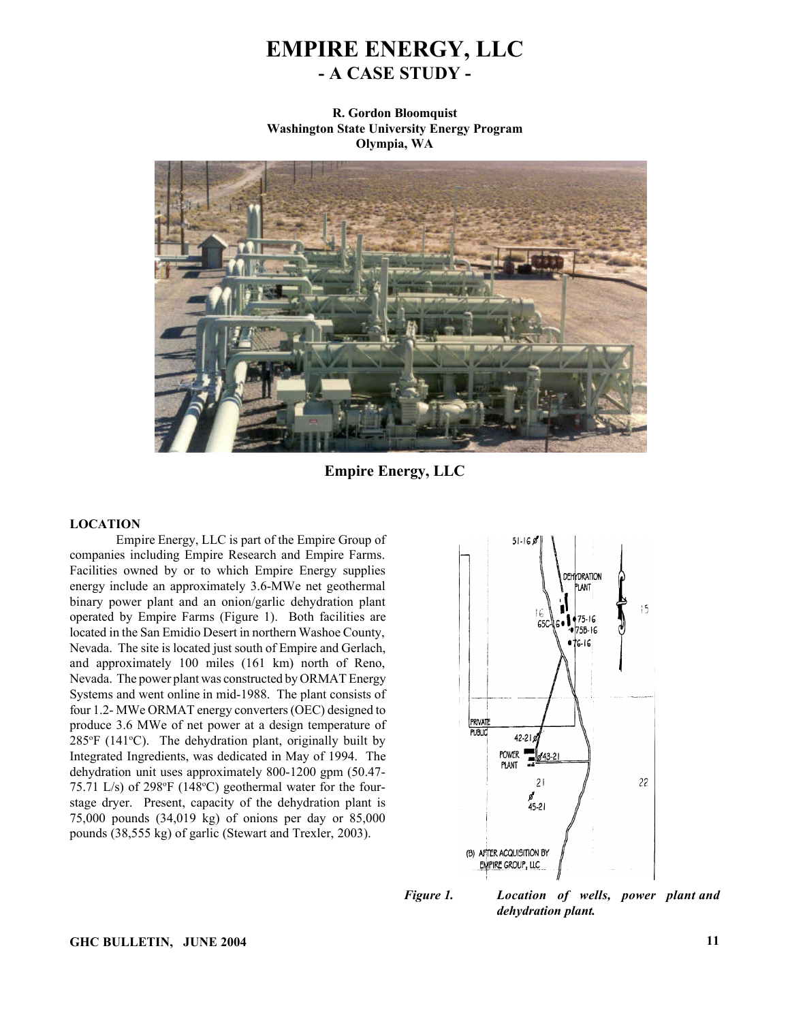# **EMPIRE ENERGY, LLC - A CASE STUDY -**

**R. Gordon Bloomquist Washington State University Energy Program Olympia, WA**



**Empire Energy, LLC**

## **LOCATION**

Empire Energy, LLC is part of the Empire Group of companies including Empire Research and Empire Farms. Facilities owned by or to which Empire Energy supplies energy include an approximately 3.6-MWe net geothermal binary power plant and an onion/garlic dehydration plant operated by Empire Farms (Figure 1). Both facilities are located in the San Emidio Desert in northern Washoe County, Nevada. The site is located just south of Empire and Gerlach, and approximately 100 miles (161 km) north of Reno, Nevada. The power plant was constructed by ORMAT Energy Systems and went online in mid-1988. The plant consists of four 1.2- MWe ORMAT energy converters (OEC) designed to produce 3.6 MWe of net power at a design temperature of  $285^{\circ}F$  (141 $^{\circ}C$ ). The dehydration plant, originally built by Integrated Ingredients, was dedicated in May of 1994. The dehydration unit uses approximately 800-1200 gpm (50.47- 75.71 L/s) of 298 $\mathrm{^{\circ}F}$  (148 $\mathrm{^{\circ}C}$ ) geothermal water for the fourstage dryer. Present, capacity of the dehydration plant is 75,000 pounds (34,019 kg) of onions per day or 85,000 pounds (38,555 kg) of garlic (Stewart and Trexler, 2003).



*Figure 1. Location of wells, power plant and dehydration plant.*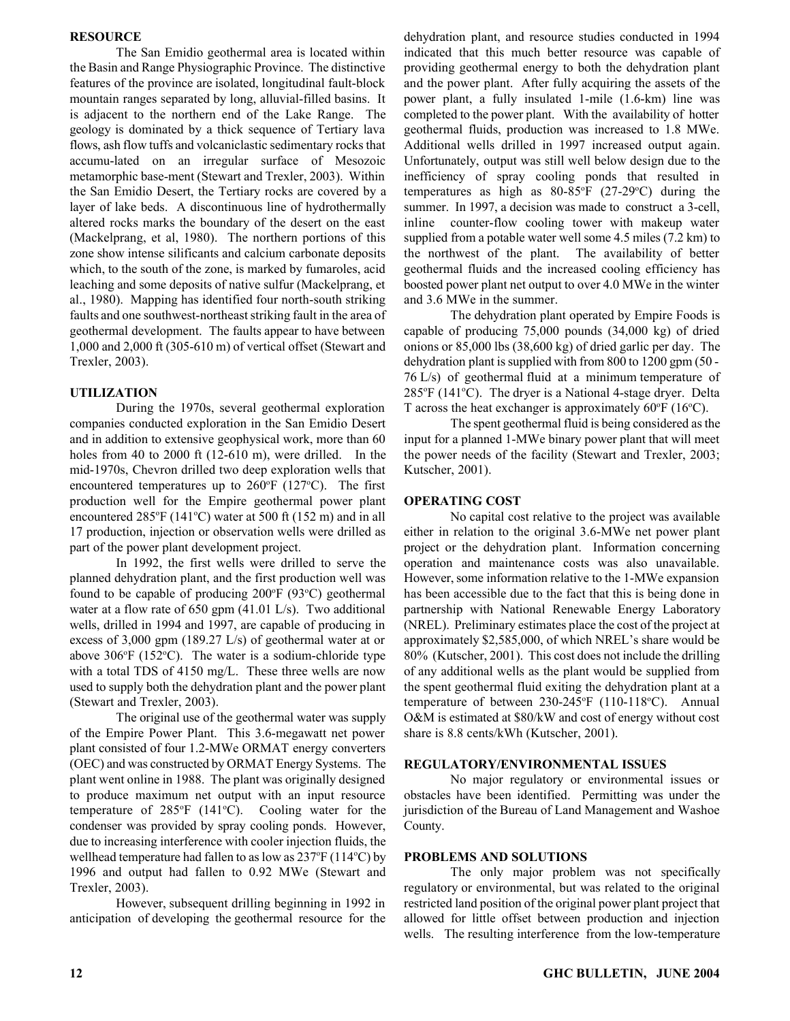#### **RESOURCE**

The San Emidio geothermal area is located within the Basin and Range Physiographic Province. The distinctive features of the province are isolated, longitudinal fault-block mountain ranges separated by long, alluvial-filled basins. It is adjacent to the northern end of the Lake Range. The geology is dominated by a thick sequence of Tertiary lava flows, ash flow tuffs and volcaniclastic sedimentary rocks that accumu-lated on an irregular surface of Mesozoic metamorphic base-ment (Stewart and Trexler, 2003). Within the San Emidio Desert, the Tertiary rocks are covered by a layer of lake beds. A discontinuous line of hydrothermally altered rocks marks the boundary of the desert on the east (Mackelprang, et al, 1980). The northern portions of this zone show intense silificants and calcium carbonate deposits which, to the south of the zone, is marked by fumaroles, acid leaching and some deposits of native sulfur (Mackelprang, et al., 1980). Mapping has identified four north-south striking faults and one southwest-northeast striking fault in the area of geothermal development. The faults appear to have between 1,000 and 2,000 ft (305-610 m) of vertical offset (Stewart and Trexler, 2003).

#### **UTILIZATION**

During the 1970s, several geothermal exploration companies conducted exploration in the San Emidio Desert and in addition to extensive geophysical work, more than 60 holes from 40 to 2000 ft (12-610 m), were drilled. In the mid-1970s, Chevron drilled two deep exploration wells that encountered temperatures up to  $260^{\circ}F$  (127 $^{\circ}C$ ). The first production well for the Empire geothermal power plant encountered  $285^{\circ}F(141^{\circ}C)$  water at 500 ft (152 m) and in all 17 production, injection or observation wells were drilled as part of the power plant development project.

In 1992, the first wells were drilled to serve the planned dehydration plant, and the first production well was found to be capable of producing  $200^{\circ}F$  (93 $^{\circ}C$ ) geothermal water at a flow rate of 650 gpm (41.01 L/s). Two additional wells, drilled in 1994 and 1997, are capable of producing in excess of 3,000 gpm (189.27 L/s) of geothermal water at or above  $306^{\circ}F$  (152 $^{\circ}C$ ). The water is a sodium-chloride type with a total TDS of 4150 mg/L. These three wells are now used to supply both the dehydration plant and the power plant (Stewart and Trexler, 2003).

The original use of the geothermal water was supply of the Empire Power Plant. This 3.6-megawatt net power plant consisted of four 1.2-MWe ORMAT energy converters (OEC) and was constructed by ORMAT Energy Systems. The plant went online in 1988. The plant was originally designed to produce maximum net output with an input resource temperature of  $285^{\circ}F$  (141 $^{\circ}C$ ). Cooling water for the condenser was provided by spray cooling ponds. However, due to increasing interference with cooler injection fluids, the wellhead temperature had fallen to as low as  $237^{\circ}F(114^{\circ}C)$  by 1996 and output had fallen to 0.92 MWe (Stewart and Trexler, 2003).

However, subsequent drilling beginning in 1992 in anticipation of developing the geothermal resource for the dehydration plant, and resource studies conducted in 1994 indicated that this much better resource was capable of providing geothermal energy to both the dehydration plant and the power plant. After fully acquiring the assets of the power plant, a fully insulated 1-mile (1.6-km) line was completed to the power plant. With the availability of hotter geothermal fluids, production was increased to 1.8 MWe. Additional wells drilled in 1997 increased output again. Unfortunately, output was still well below design due to the inefficiency of spray cooling ponds that resulted in temperatures as high as  $80-85^\circ F$  (27-29 $\circ$ C) during the summer. In 1997, a decision was made to construct a 3-cell, inline counter-flow cooling tower with makeup water supplied from a potable water well some 4.5 miles (7.2 km) to the northwest of the plant. The availability of better geothermal fluids and the increased cooling efficiency has boosted power plant net output to over 4.0 MWe in the winter and 3.6 MWe in the summer.

The dehydration plant operated by Empire Foods is capable of producing 75,000 pounds (34,000 kg) of dried onions or 85,000 lbs (38,600 kg) of dried garlic per day. The dehydration plant is supplied with from 800 to 1200 gpm (50 - 76 L/s) of geothermal fluid at a minimum temperature of  $285^{\circ}F$  (141 $^{\circ}C$ ). The dryer is a National 4-stage dryer. Delta T across the heat exchanger is approximately  $60^{\circ}F(16^{\circ}C)$ .

The spent geothermal fluid is being considered as the input for a planned 1-MWe binary power plant that will meet the power needs of the facility (Stewart and Trexler, 2003; Kutscher, 2001).

#### **OPERATING COST**

No capital cost relative to the project was available either in relation to the original 3.6-MWe net power plant project or the dehydration plant. Information concerning operation and maintenance costs was also unavailable. However, some information relative to the 1-MWe expansion has been accessible due to the fact that this is being done in partnership with National Renewable Energy Laboratory (NREL). Preliminary estimates place the cost of the project at approximately \$2,585,000, of which NREL's share would be 80% (Kutscher, 2001). This cost does not include the drilling of any additional wells as the plant would be supplied from the spent geothermal fluid exiting the dehydration plant at a temperature of between 230-245°F (110-118°C). Annual O&M is estimated at \$80/kW and cost of energy without cost share is 8.8 cents/kWh (Kutscher, 2001).

#### **REGULATORY/ENVIRONMENTAL ISSUES**

No major regulatory or environmental issues or obstacles have been identified. Permitting was under the jurisdiction of the Bureau of Land Management and Washoe County.

#### **PROBLEMS AND SOLUTIONS**

The only major problem was not specifically regulatory or environmental, but was related to the original restricted land position of the original power plant project that allowed for little offset between production and injection wells. The resulting interference from the low-temperature